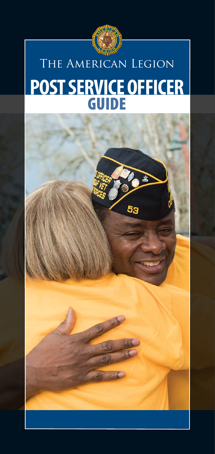

# THE AMERICAN LEGION **POST SERVICE OFFICER** GUIDE

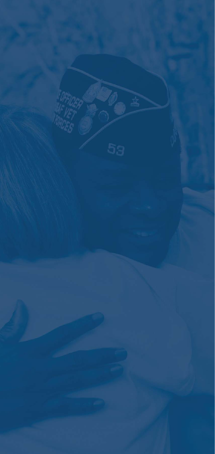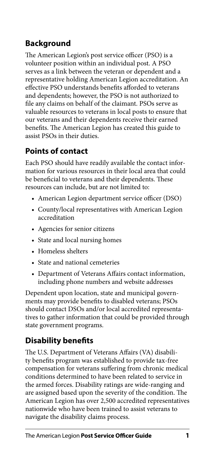## **Background**

The American Legion's post service officer (PSO) is a volunteer position within an individual post. A PSO serves as a link between the veteran or dependent and a representative holding American Legion accreditation. An effective PSO understands benefits afforded to veterans and dependents; however, the PSO is not authorized to file any claims on behalf of the claimant. PSOs serve as valuable resources to veterans in local posts to ensure that our veterans and their dependents receive their earned benefits. The American Legion has created this guide to assist PSOs in their duties.

# **Points of contact**

Each PSO should have readily available the contact information for various resources in their local area that could be beneficial to veterans and their dependents. These resources can include, but are not limited to:

- American Legion department service officer (DSO)
- County/local representatives with American Legion accreditation
- Agencies for senior citizens
- State and local nursing homes
- Homeless shelters
- State and national cemeteries
- Department of Veterans Affairs contact information, including phone numbers and website addresses

Dependent upon location, state and municipal governments may provide benefits to disabled veterans; PSOs should contact DSOs and/or local accredited representatives to gather information that could be provided through state government programs.

# **Disability benefits**

The U.S. Department of Veterans Affairs (VA) disability benefits program was established to provide tax-free compensation for veterans suffering from chronic medical conditions determined to have been related to service in the armed forces. Disability ratings are wide-ranging and are assigned based upon the severity of the condition. The American Legion has over 2,500 accredited representatives nationwide who have been trained to assist veterans to navigate the disability claims process.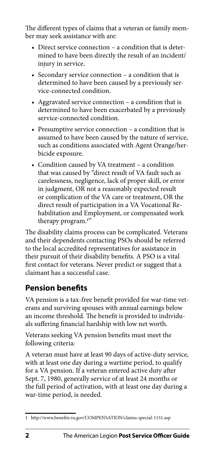The different types of claims that a veteran or family member may seek assistance with are:

- Direct service connection a condition that is determined to have been directly the result of an incident/ injury in service.
- Secondary service connection a condition that is determined to have been caused by a previously service-connected condition.
- Aggravated service connection a condition that is determined to have been exacerbated by a previously service-connected condition.
- Presumptive service connection a condition that is assumed to have been caused by the nature of service, such as conditions associated with Agent Orange/herbicide exposure.
- Condition caused by VA treatment a condition that was caused by "direct result of VA fault such as carelessness, negligence, lack of proper skill, or error in judgment, OR not a reasonably expected result or complication of the VA care or treatment, OR the direct result of participation in a VA Vocational Rehabilitation and Employment, or compensated work therapy program.*<sup>1</sup>* "

The disability claims process can be complicated. Veterans and their dependents contacting PSOs should be referred to the local accredited representatives for assistance in their pursuit of their disability benefits. A PSO is a vital first contact for veterans. Never predict or suggest that a claimant has a successful case.

#### **Pension benefits**

VA pension is a tax-free benefit provided for war-time veterans and surviving spouses with annual earnings below an income threshold. The benefit is provided to individuals suffering financial hardship with low net worth.

Veterans seeking VA pension benefits must meet the following criteria:

A veteran must have at least 90 days of active-duty service, with at least one day during a wartime period, to qualify for a VA pension. If a veteran entered active duty after Sept. 7, 1980, generally service of at least 24 months or the full period of activation, with at least one day during a war-time period, is needed.

<sup>1</sup> http://www.benefits.va.gov/COMPENSATION/claims-special-1151.asp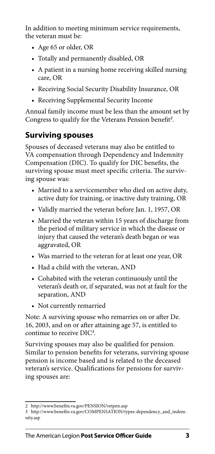In addition to meeting minimum service requirements, the veteran must be:

- Age 65 or older, OR
- Totally and permanently disabled, OR
- A patient in a nursing home receiving skilled nursing care, OR
- Receiving Social Security Disability Insurance, OR
- Receiving Supplemental Security Income

Annual family income must be less than the amount set by Congress to qualify for the Veterans Pension benefit*<sup>2</sup>* .

## **Surviving spouses**

Spouses of deceased veterans may also be entitled to VA compensation through Dependency and Indemnity Compensation (DIC). To qualify for DIC benefits, the surviving spouse must meet specific criteria. The surviving spouse was:

- Married to a servicemember who died on active duty, active duty for training, or inactive duty training, OR
- Validly married the veteran before Jan. 1, 1957, OR
- Married the veteran within 15 years of discharge from the period of military service in which the disease or injury that caused the veteran's death began or was aggravated, OR
- Was married to the veteran for at least one year, OR
- Had a child with the veteran, AND
- Cohabited with the veteran continuously until the veteran's death or, if separated, was not at fault for the separation, AND
- Not currently remarried

Note: A surviving spouse who remarries on or after De. 16, 2003, and on or after attaining age 57, is entitled to continue to receive DIC*<sup>3</sup>* .

Surviving spouses may also be qualified for pension. Similar to pension benefits for veterans, surviving spouse pension is income based and is related to the deceased veteran's service. Qualifications for pensions for surviving spouses are:

<sup>2</sup> http://www.benefits.va.gov/PENSION/vetpen.asp

<sup>3</sup> http://www.benefits.va.gov/COMPENSATION/types-dependency\_and\_indemnity.asp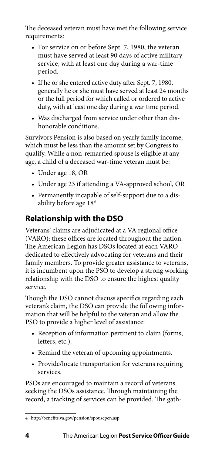The deceased veteran must have met the following service requirements:

- For service on or before Sept. 7, 1980, the veteran must have served at least 90 days of active military service, with at least one day during a war-time period.
- If he or she entered active duty after Sept. 7, 1980, generally he or she must have served at least 24 months or the full period for which called or ordered to active duty, with at least one day during a war time period.
- Was discharged from service under other than dishonorable conditions.

Survivors Pension is also based on yearly family income, which must be less than the amount set by Congress to qualify. While a non-remarried spouse is eligible at any age, a child of a deceased war-time veteran must be:

- Under age 18, OR
- Under age 23 if attending a VA-approved school, OR
- Permanently incapable of self-support due to a disability before age 18*<sup>4</sup>*

## **Relationship with the DSO**

Veterans' claims are adjudicated at a VA regional office (VARO); these offices are located throughout the nation. The American Legion has DSOs located at each VARO dedicated to effectively advocating for veterans and their family members. To provide greater assistance to veterans, it is incumbent upon the PSO to develop a strong working relationship with the DSO to ensure the highest quality service.

Though the DSO cannot discuss specifics regarding each veteran's claim, the DSO can provide the following information that will be helpful to the veteran and allow the PSO to provide a higher level of assistance:

- Reception of information pertinent to claim (forms, letters, etc.).
- Remind the veteran of upcoming appointments.
- Provide/locate transportation for veterans requiring services.

PSOs are encouraged to maintain a record of veterans seeking the DSOs assistance. Through maintaining the record, a tracking of services can be provided. The gath-

<sup>4</sup> http://benefits.va.gov/pension/spousepen.asp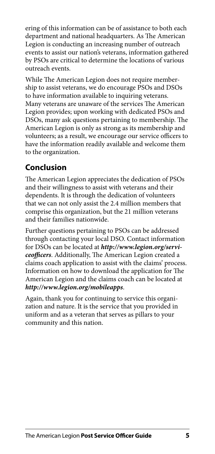ering of this information can be of assistance to both each department and national headquarters. As The American Legion is conducting an increasing number of outreach events to assist our nation's veterans, information gathered by PSOs are critical to determine the locations of various outreach events.

While The American Legion does not require membership to assist veterans, we do encourage PSOs and DSOs to have information available to inquiring veterans. Many veterans are unaware of the services The American Legion provides; upon working with dedicated PSOs and DSOs, many ask questions pertaining to membership. The American Legion is only as strong as its membership and volunteers; as a result, we encourage our service officers to have the information readily available and welcome them to the organization.

## **Conclusion**

The American Legion appreciates the dedication of PSOs and their willingness to assist with veterans and their dependents. It is through the dedication of volunteers that we can not only assist the 2.4 million members that comprise this organization, but the 21 million veterans and their families nationwide.

Further questions pertaining to PSOs can be addressed through contacting your local DSO. Contact information for DSOs can be located at *http://www.legion.org/serviceofficers*. Additionally, The American Legion created a claims coach application to assist with the claims' process. Information on how to download the application for The American Legion and the claims coach can be located at *http://www.legion.org/mobileapps*.

Again, thank you for continuing to service this organization and nature. It is the service that you provided in uniform and as a veteran that serves as pillars to your community and this nation.